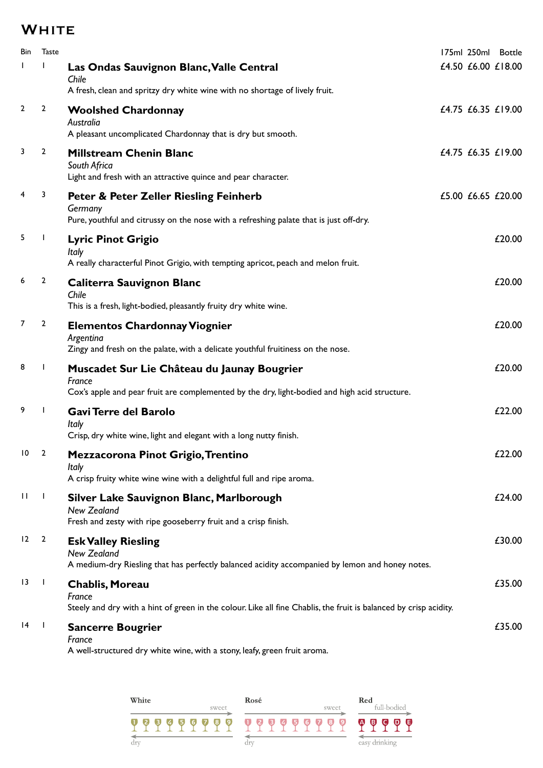## **WHITE**

| <b>Bin</b>      | <b>Taste</b>   |                                                                                                                                                        |  | 175ml 250ml Bottle |
|-----------------|----------------|--------------------------------------------------------------------------------------------------------------------------------------------------------|--|--------------------|
|                 |                | Las Ondas Sauvignon Blanc, Valle Central<br>Chile                                                                                                      |  | £4.50 £6.00 £18.00 |
|                 |                | A fresh, clean and spritzy dry white wine with no shortage of lively fruit.                                                                            |  |                    |
| $\overline{2}$  | $\overline{2}$ | <b>Woolshed Chardonnay</b><br>Australia<br>A pleasant uncomplicated Chardonnay that is dry but smooth.                                                 |  | £4.75 £6.35 £19.00 |
| 3               | $\overline{2}$ | <b>Millstream Chenin Blanc</b><br>South Africa<br>Light and fresh with an attractive quince and pear character.                                        |  | £4.75 £6.35 £19.00 |
| 4               | 3              | <b>Peter &amp; Peter Zeller Riesling Feinherb</b><br>Germany<br>Pure, youthful and citrussy on the nose with a refreshing palate that is just off-dry. |  | £5.00 £6.65 £20.00 |
| 5               |                | <b>Lyric Pinot Grigio</b><br>Italy<br>A really characterful Pinot Grigio, with tempting apricot, peach and melon fruit.                                |  | £20.00             |
| 6               | 2              | <b>Caliterra Sauvignon Blanc</b><br>Chile<br>This is a fresh, light-bodied, pleasantly fruity dry white wine.                                          |  | £20.00             |
| 7               | $\overline{2}$ | <b>Elementos Chardonnay Viognier</b><br>Argentina<br>Zingy and fresh on the palate, with a delicate youthful fruitiness on the nose.                   |  | £20.00             |
| 8               | $\mathbf{I}$   | Muscadet Sur Lie Château du Jaunay Bougrier<br>France<br>Cox's apple and pear fruit are complemented by the dry, light-bodied and high acid structure. |  | £20.00             |
| 9               |                | Gavi Terre del Barolo<br>Italy<br>Crisp, dry white wine, light and elegant with a long nutty finish.                                                   |  | £22.00             |
| 10              | 2              | Mezzacorona Pinot Grigio, Trentino<br>Italy<br>A crisp fruity white wine wine with a delightful full and ripe aroma.                                   |  | £22.00             |
| -11             | $\mathbf{I}$   | Silver Lake Sauvignon Blanc, Marlborough<br><b>New Zealand</b><br>Fresh and zesty with ripe gooseberry fruit and a crisp finish.                       |  | £24.00             |
| 12              | $\overline{2}$ | <b>Esk Valley Riesling</b><br><b>New Zealand</b><br>A medium-dry Riesling that has perfectly balanced acidity accompanied by lemon and honey notes.    |  | £30.00             |
| $\overline{13}$ |                | <b>Chablis, Moreau</b><br>France<br>Steely and dry with a hint of green in the colour. Like all fine Chablis, the fruit is balanced by crisp acidity.  |  | £35.00             |
| 14              | $\blacksquare$ | <b>Sancerre Bougrier</b><br>France<br>A well-structured dry white wine, with a stony, leafy, green fruit aroma.                                        |  | £35.00             |

White Red<br>full-bodied  $\operatorname*{Ros\'e}% \left( X\right) \subset X^{\ast}\left( X\right)$ White sweet  $\overrightarrow{q}$  and  $\overrightarrow{q}$  and  $\overrightarrow{q}$  and  $\overrightarrow{q}$  and  $\overrightarrow{q}$  and  $\overrightarrow{q}$  and  $\overrightarrow{q}$  and  $\overrightarrow{q}$  and  $\overrightarrow{q}$  and  $\overrightarrow{q}$  and  $\overrightarrow{q}$  and  $\overrightarrow{q}$  and  $\overrightarrow{q}$  and  $\overrightarrow{q}$  and  $\overrightarrow{q}$  and  $\overrightarrow{q}$  and sweet  $\begin{tabular}{|c|c|} \hline \quad \quad & \quad \quad & \quad \quad & \quad \quad \\ \hline \quad \quad & \quad \quad & \quad \quad \\ \hline \text{dry} & \end{tabular}$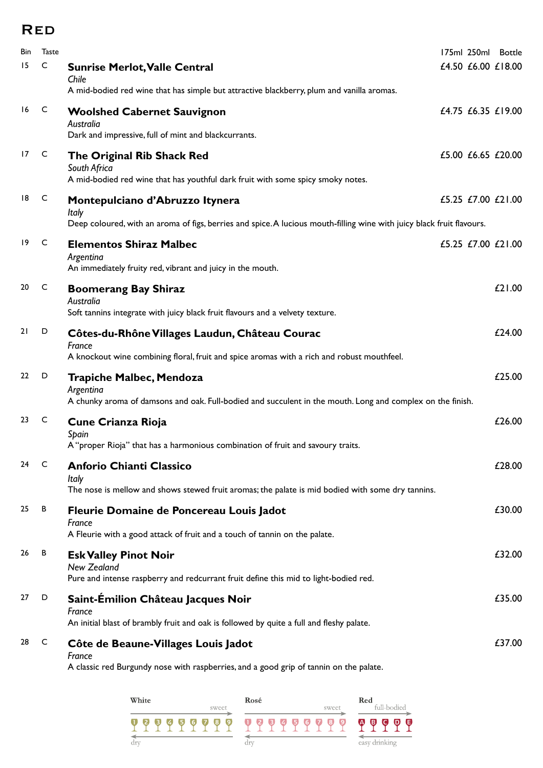## Red

| Bin | <b>Taste</b> |                                                                                                                         |  | 175ml 250ml Bottle |
|-----|--------------|-------------------------------------------------------------------------------------------------------------------------|--|--------------------|
| 15  | C            | <b>Sunrise Merlot, Valle Central</b><br>Chile                                                                           |  | £4.50 £6.00 £18.00 |
|     |              | A mid-bodied red wine that has simple but attractive blackberry, plum and vanilla aromas.                               |  |                    |
| 16  | C            | <b>Woolshed Cabernet Sauvignon</b><br>Australia<br>Dark and impressive, full of mint and blackcurrants.                 |  | £4.75 £6.35 £19.00 |
| 17  | C            |                                                                                                                         |  | £5.00 £6.65 £20.00 |
|     |              | The Original Rib Shack Red<br>South Africa                                                                              |  |                    |
|     |              | A mid-bodied red wine that has youthful dark fruit with some spicy smoky notes.                                         |  |                    |
| 18  | $\mathsf{C}$ | Montepulciano d'Abruzzo Itynera<br>Italy                                                                                |  | £5.25 £7.00 £21.00 |
|     |              | Deep coloured, with an aroma of figs, berries and spice. A lucious mouth-filling wine with juicy black fruit flavours.  |  |                    |
| 19  | C            | <b>Elementos Shiraz Malbec</b>                                                                                          |  | £5.25 £7.00 £21.00 |
|     |              | Argentina<br>An immediately fruity red, vibrant and juicy in the mouth.                                                 |  |                    |
| 20  | $\mathsf{C}$ |                                                                                                                         |  | £21.00             |
|     |              | <b>Boomerang Bay Shiraz</b><br>Australia                                                                                |  |                    |
|     |              | Soft tannins integrate with juicy black fruit flavours and a velvety texture.                                           |  |                    |
| 21  | D            | Côtes-du-Rhône Villages Laudun, Château Courac                                                                          |  | £24.00             |
|     |              | France<br>A knockout wine combining floral, fruit and spice aromas with a rich and robust mouthfeel.                    |  |                    |
| 22  | D            | <b>Trapiche Malbec, Mendoza</b>                                                                                         |  | £25.00             |
|     |              | Argentina<br>A chunky aroma of damsons and oak. Full-bodied and succulent in the mouth. Long and complex on the finish. |  |                    |
| 23  | C            | <b>Cune Crianza Rioja</b>                                                                                               |  | £26.00             |
|     |              | Spain<br>A "proper Rioja" that has a harmonious combination of fruit and savoury traits.                                |  |                    |
| 24  | C            | <b>Anforio Chianti Classico</b>                                                                                         |  | £28.00             |
|     |              | Italy<br>The nose is mellow and shows stewed fruit aromas; the palate is mid bodied with some dry tannins.              |  |                    |
| 25  | В            | Fleurie Domaine de Poncereau Louis Jadot                                                                                |  | £30.00             |
|     |              | France                                                                                                                  |  |                    |
|     |              | A Fleurie with a good attack of fruit and a touch of tannin on the palate.                                              |  |                    |
| 26  | В            | <b>Esk Valley Pinot Noir</b><br>New Zealand                                                                             |  | £32.00             |
|     |              | Pure and intense raspberry and redcurrant fruit define this mid to light-bodied red.                                    |  |                    |
| 27  | D            | Saint-Emilion Château Jacques Noir                                                                                      |  | £35.00             |
|     |              | France<br>An initial blast of brambly fruit and oak is followed by quite a full and fleshy palate.                      |  |                    |
| 28  | C            | Côte de Beaune-Villages Louis Jadot                                                                                     |  | £37.00             |
|     |              | France                                                                                                                  |  |                    |
|     |              | A classic red Burgundy nose with raspberries, and a good grip of tannin on the palate.                                  |  |                    |

| White |  |  |    | Rosé |     |   |       |   |     | Red   |   |                   |   |   |   |       |     |                          |
|-------|--|--|----|------|-----|---|-------|---|-----|-------|---|-------------------|---|---|---|-------|-----|--------------------------|
|       |  |  |    |      |     |   | sweet |   |     |       |   |                   |   |   |   | sweet |     | full-bodied              |
|       |  |  | 14 | 5    | (6) | 7 | 8)    | 9 |     | - 12) | 3 | $\left( 4\right)$ | 6 | 6 | 7 | 8     | -9) | Θ<br>G<br>$\bullet$<br>W |
| drv   |  |  |    |      |     |   |       |   | dry |       |   |                   |   |   |   |       |     | easy drinking            |